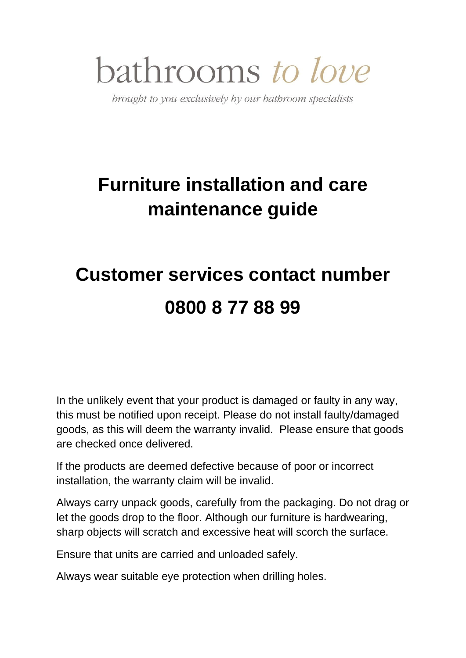## bathrooms to love

brought to you exclusively by our bathroom specialists

## **Furniture installation and care maintenance guide**

## **Customer services contact number 0800 8 77 88 99**

In the unlikely event that your product is damaged or faulty in any way, this must be notified upon receipt. Please do not install faulty/damaged goods, as this will deem the warranty invalid. Please ensure that goods are checked once delivered.

If the products are deemed defective because of poor or incorrect installation, the warranty claim will be invalid.

Always carry unpack goods, carefully from the packaging. Do not drag or let the goods drop to the floor. Although our furniture is hardwearing, sharp objects will scratch and excessive heat will scorch the surface.

Ensure that units are carried and unloaded safely.

Always wear suitable eye protection when drilling holes.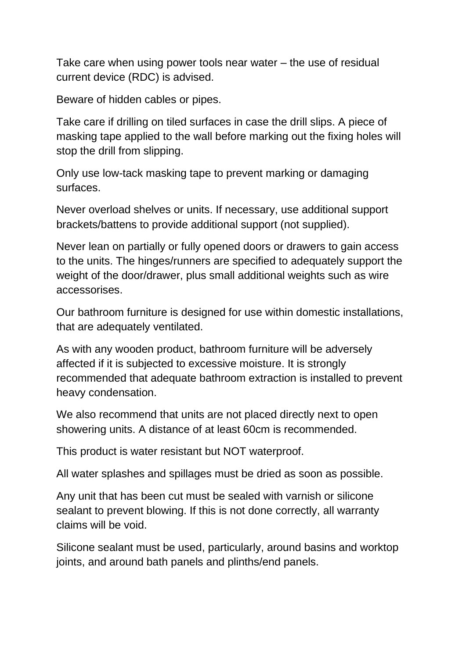Take care when using power tools near water – the use of residual current device (RDC) is advised.

Beware of hidden cables or pipes.

Take care if drilling on tiled surfaces in case the drill slips. A piece of masking tape applied to the wall before marking out the fixing holes will stop the drill from slipping.

Only use low-tack masking tape to prevent marking or damaging surfaces.

Never overload shelves or units. If necessary, use additional support brackets/battens to provide additional support (not supplied).

Never lean on partially or fully opened doors or drawers to gain access to the units. The hinges/runners are specified to adequately support the weight of the door/drawer, plus small additional weights such as wire accessorises.

Our bathroom furniture is designed for use within domestic installations, that are adequately ventilated.

As with any wooden product, bathroom furniture will be adversely affected if it is subjected to excessive moisture. It is strongly recommended that adequate bathroom extraction is installed to prevent heavy condensation.

We also recommend that units are not placed directly next to open showering units. A distance of at least 60cm is recommended.

This product is water resistant but NOT waterproof.

All water splashes and spillages must be dried as soon as possible.

Any unit that has been cut must be sealed with varnish or silicone sealant to prevent blowing. If this is not done correctly, all warranty claims will be void.

Silicone sealant must be used, particularly, around basins and worktop joints, and around bath panels and plinths/end panels.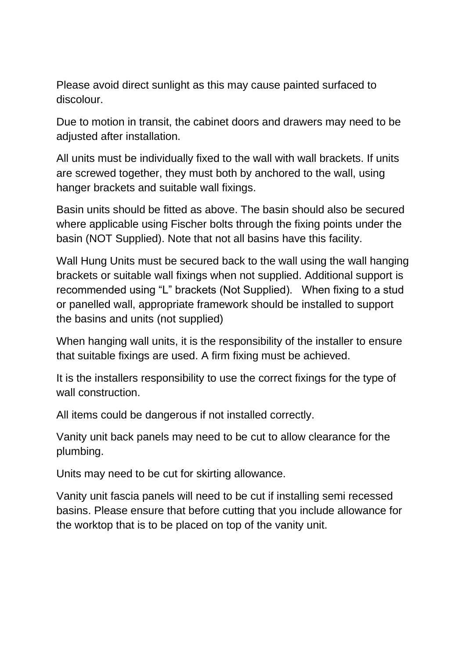Please avoid direct sunlight as this may cause painted surfaced to discolour.

Due to motion in transit, the cabinet doors and drawers may need to be adjusted after installation.

All units must be individually fixed to the wall with wall brackets. If units are screwed together, they must both by anchored to the wall, using hanger brackets and suitable wall fixings.

Basin units should be fitted as above. The basin should also be secured where applicable using Fischer bolts through the fixing points under the basin (NOT Supplied). Note that not all basins have this facility.

Wall Hung Units must be secured back to the wall using the wall hanging brackets or suitable wall fixings when not supplied. Additional support is recommended using "L" brackets (Not Supplied). When fixing to a stud or panelled wall, appropriate framework should be installed to support the basins and units (not supplied)

When hanging wall units, it is the responsibility of the installer to ensure that suitable fixings are used. A firm fixing must be achieved.

It is the installers responsibility to use the correct fixings for the type of wall construction

All items could be dangerous if not installed correctly.

Vanity unit back panels may need to be cut to allow clearance for the plumbing.

Units may need to be cut for skirting allowance.

Vanity unit fascia panels will need to be cut if installing semi recessed basins. Please ensure that before cutting that you include allowance for the worktop that is to be placed on top of the vanity unit.